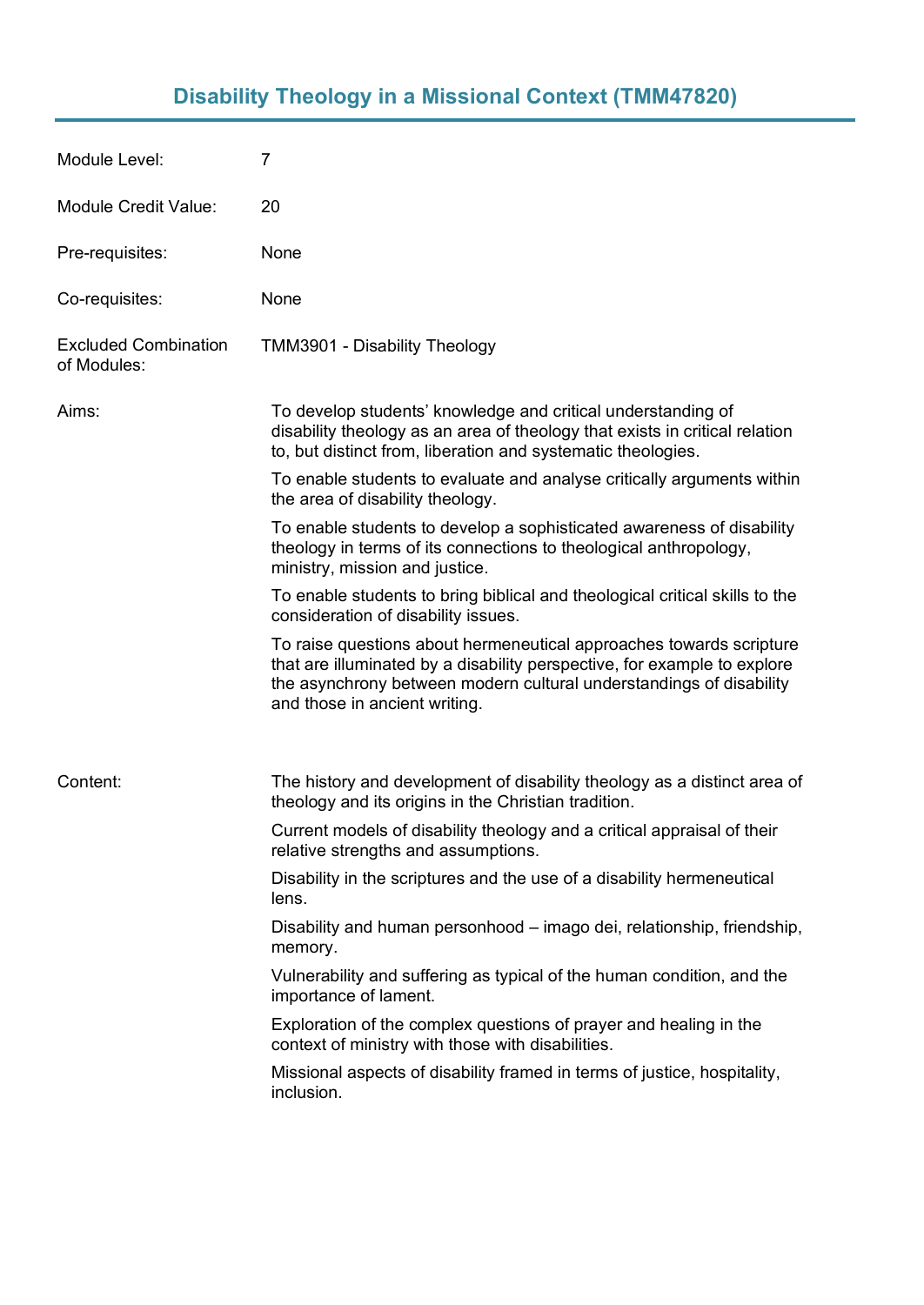# **Disability Theology in a Missional Context (TMM47820)**

| Module Level:                              | $\overline{7}$                                                                                                                                                                                                                                          |
|--------------------------------------------|---------------------------------------------------------------------------------------------------------------------------------------------------------------------------------------------------------------------------------------------------------|
| <b>Module Credit Value:</b>                | 20                                                                                                                                                                                                                                                      |
| Pre-requisites:                            | None                                                                                                                                                                                                                                                    |
| Co-requisites:                             | None                                                                                                                                                                                                                                                    |
| <b>Excluded Combination</b><br>of Modules: | TMM3901 - Disability Theology                                                                                                                                                                                                                           |
| Aims:                                      | To develop students' knowledge and critical understanding of<br>disability theology as an area of theology that exists in critical relation<br>to, but distinct from, liberation and systematic theologies.                                             |
|                                            | To enable students to evaluate and analyse critically arguments within<br>the area of disability theology.                                                                                                                                              |
|                                            | To enable students to develop a sophisticated awareness of disability<br>theology in terms of its connections to theological anthropology,<br>ministry, mission and justice.                                                                            |
|                                            | To enable students to bring biblical and theological critical skills to the<br>consideration of disability issues.                                                                                                                                      |
|                                            | To raise questions about hermeneutical approaches towards scripture<br>that are illuminated by a disability perspective, for example to explore<br>the asynchrony between modern cultural understandings of disability<br>and those in ancient writing. |
| Content:                                   | The history and development of disability theology as a distinct area of<br>theology and its origins in the Christian tradition.                                                                                                                        |
|                                            | Current models of disability theology and a critical appraisal of their<br>relative strengths and assumptions.                                                                                                                                          |
|                                            | Disability in the scriptures and the use of a disability hermeneutical<br>lens.                                                                                                                                                                         |
|                                            | Disability and human personhood – imago dei, relationship, friendship,<br>memory.                                                                                                                                                                       |
|                                            | Vulnerability and suffering as typical of the human condition, and the<br>importance of lament.                                                                                                                                                         |
|                                            | Exploration of the complex questions of prayer and healing in the<br>context of ministry with those with disabilities.                                                                                                                                  |
|                                            | Missional aspects of disability framed in terms of justice, hospitality,<br>inclusion.                                                                                                                                                                  |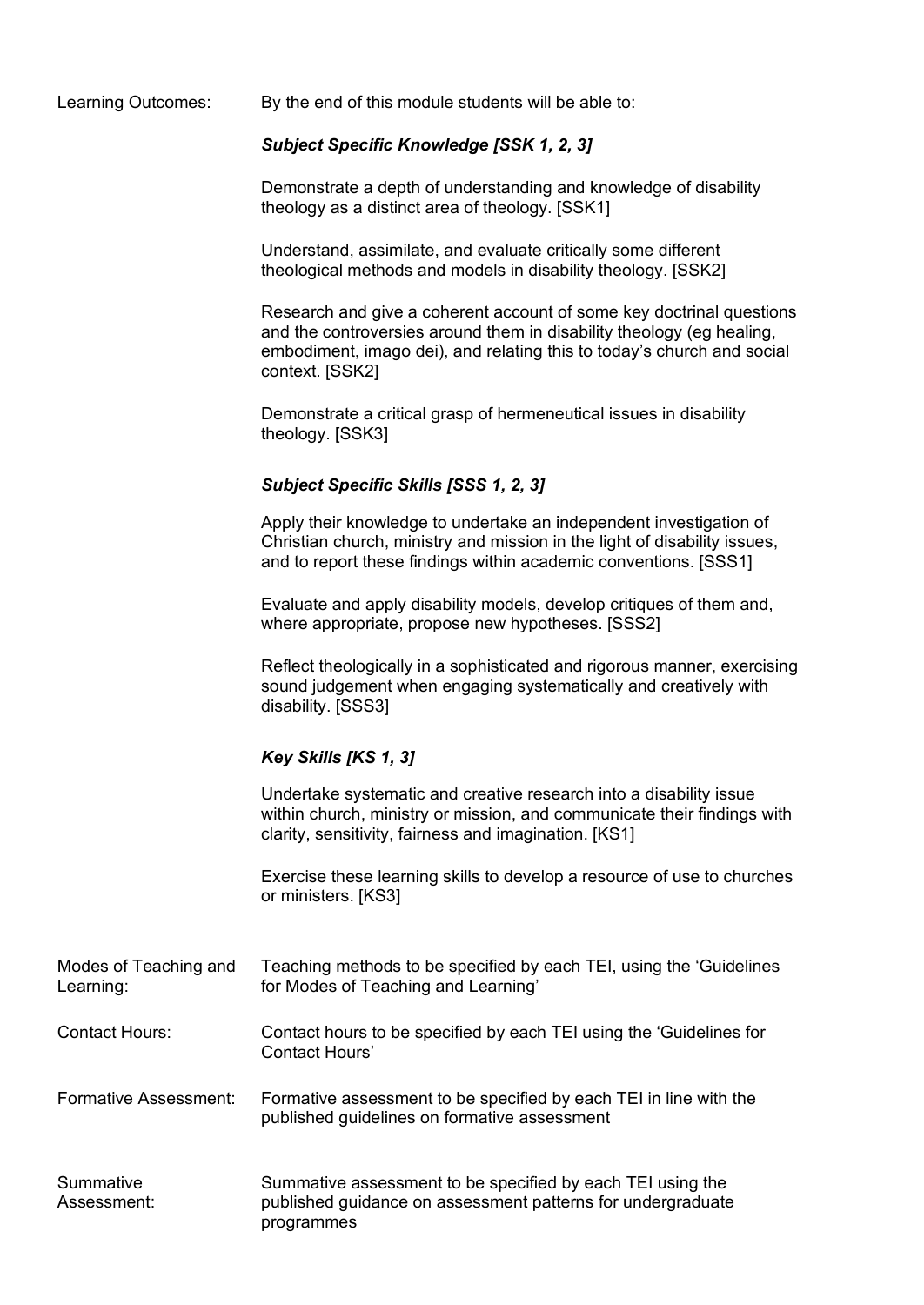Learning Outcomes: By the end of this module students will be able to:

## *Subject Specific Knowledge [SSK 1, 2, 3]*

Demonstrate a depth of understanding and knowledge of disability theology as a distinct area of theology. [SSK1]

Understand, assimilate, and evaluate critically some different theological methods and models in disability theology. [SSK2]

Research and give a coherent account of some key doctrinal questions and the controversies around them in disability theology (eg healing, embodiment, imago dei), and relating this to today's church and social context. [SSK2]

Demonstrate a critical grasp of hermeneutical issues in disability theology. [SSK3]

## *Subject Specific Skills [SSS 1, 2, 3]*

Apply their knowledge to undertake an independent investigation of Christian church, ministry and mission in the light of disability issues, and to report these findings within academic conventions. [SSS1]

Evaluate and apply disability models, develop critiques of them and, where appropriate, propose new hypotheses. [SSS2]

Reflect theologically in a sophisticated and rigorous manner, exercising sound judgement when engaging systematically and creatively with disability. [SSS3]

#### *Key Skills [KS 1, 3]*

Undertake systematic and creative research into a disability issue within church, ministry or mission, and communicate their findings with clarity, sensitivity, fairness and imagination. [KS1]

Exercise these learning skills to develop a resource of use to churches or ministers. [KS3]

| Modes of Teaching and<br>Learning: | Teaching methods to be specified by each TEI, using the 'Guidelines'<br>for Modes of Teaching and Learning'                             |
|------------------------------------|-----------------------------------------------------------------------------------------------------------------------------------------|
| <b>Contact Hours:</b>              | Contact hours to be specified by each TEI using the 'Guidelines for<br>Contact Hours'                                                   |
| Formative Assessment:              | Formative assessment to be specified by each TEI in line with the<br>published guidelines on formative assessment                       |
| Summative<br>Assessment:           | Summative assessment to be specified by each TEI using the<br>published guidance on assessment patterns for undergraduate<br>programmes |